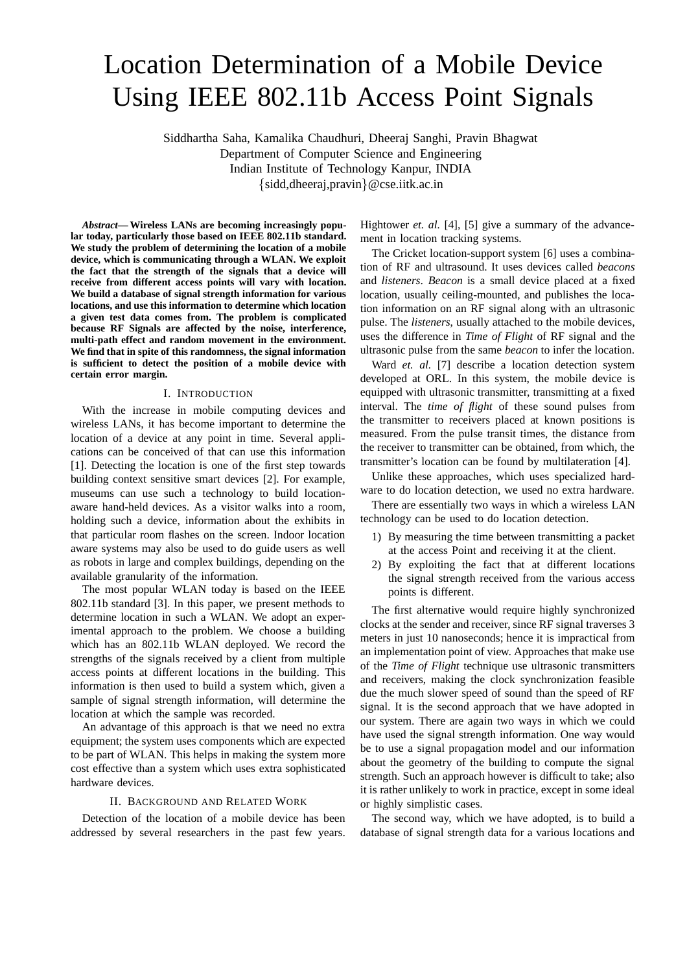# Location Determination of a Mobile Device Using IEEE 802.11b Access Point Signals

Siddhartha Saha, Kamalika Chaudhuri, Dheeraj Sanghi, Pravin Bhagwat Department of Computer Science and Engineering Indian Institute of Technology Kanpur, INDIA  $\{sidd,dheeraj,pravin\}$ @cse.iitk.ac.in

*Abstract***— Wireless LANs are becoming increasingly popular today, particularly those based on IEEE 802.11b standard. We study the problem of determining the location of a mobile device, which is communicating through a WLAN. We exploit the fact that the strength of the signals that a device will receive from different access points will vary with location. We build a database of signal strength information for various locations, and use this information to determine which location a given test data comes from. The problem is complicated because RF Signals are affected by the noise, interference, multi-path effect and random movement in the environment. We find that in spite of this randomness, the signal information is sufficient to detect the position of a mobile device with certain error margin.**

# I. INTRODUCTION

With the increase in mobile computing devices and wireless LANs, it has become important to determine the location of a device at any point in time. Several applications can be conceived of that can use this information [1]. Detecting the location is one of the first step towards building context sensitive smart devices [2]. For example, museums can use such a technology to build locationaware hand-held devices. As a visitor walks into a room, holding such a device, information about the exhibits in that particular room flashes on the screen. Indoor location aware systems may also be used to do guide users as well as robots in large and complex buildings, depending on the available granularity of the information.

The most popular WLAN today is based on the IEEE 802.11b standard [3]. In this paper, we present methods to determine location in such a WLAN. We adopt an experimental approach to the problem. We choose a building which has an 802.11b WLAN deployed. We record the strengths of the signals received by a client from multiple access points at different locations in the building. This information is then used to build a system which, given a sample of signal strength information, will determine the location at which the sample was recorded.

An advantage of this approach is that we need no extra equipment; the system uses components which are expected to be part of WLAN. This helps in making the system more cost effective than a system which uses extra sophisticated hardware devices.

# II. BACKGROUND AND RELATED WORK

Detection of the location of a mobile device has been addressed by several researchers in the past few years. Hightower *et. al.* [4], [5] give a summary of the advancement in location tracking systems.

The Cricket location-support system [6] uses a combination of RF and ultrasound. It uses devices called *beacons* and *listeners*. *Beacon* is a small device placed at a fixed location, usually ceiling-mounted, and publishes the location information on an RF signal along with an ultrasonic pulse. The *listeners*, usually attached to the mobile devices, uses the difference in *Time of Flight* of RF signal and the ultrasonic pulse from the same *beacon* to infer the location.

Ward *et. al.* [7] describe a location detection system developed at ORL. In this system, the mobile device is equipped with ultrasonic transmitter, transmitting at a fixed interval. The *time of flight* of these sound pulses from the transmitter to receivers placed at known positions is measured. From the pulse transit times, the distance from the receiver to transmitter can be obtained, from which, the transmitter's location can be found by multilateration [4].

Unlike these approaches, which uses specialized hardware to do location detection, we used no extra hardware.

There are essentially two ways in which a wireless LAN technology can be used to do location detection.

- 1) By measuring the time between transmitting a packet at the access Point and receiving it at the client.
- 2) By exploiting the fact that at different locations the signal strength received from the various access points is different.

The first alternative would require highly synchronized clocks at the sender and receiver, since RF signal traverses 3 meters in just 10 nanoseconds; hence it is impractical from an implementation point of view. Approaches that make use of the *Time of Flight* technique use ultrasonic transmitters and receivers, making the clock synchronization feasible due the much slower speed of sound than the speed of RF signal. It is the second approach that we have adopted in our system. There are again two ways in which we could have used the signal strength information. One way would be to use a signal propagation model and our information about the geometry of the building to compute the signal strength. Such an approach however is difficult to take; also it is rather unlikely to work in practice, except in some ideal or highly simplistic cases.

The second way, which we have adopted, is to build a database of signal strength data for a various locations and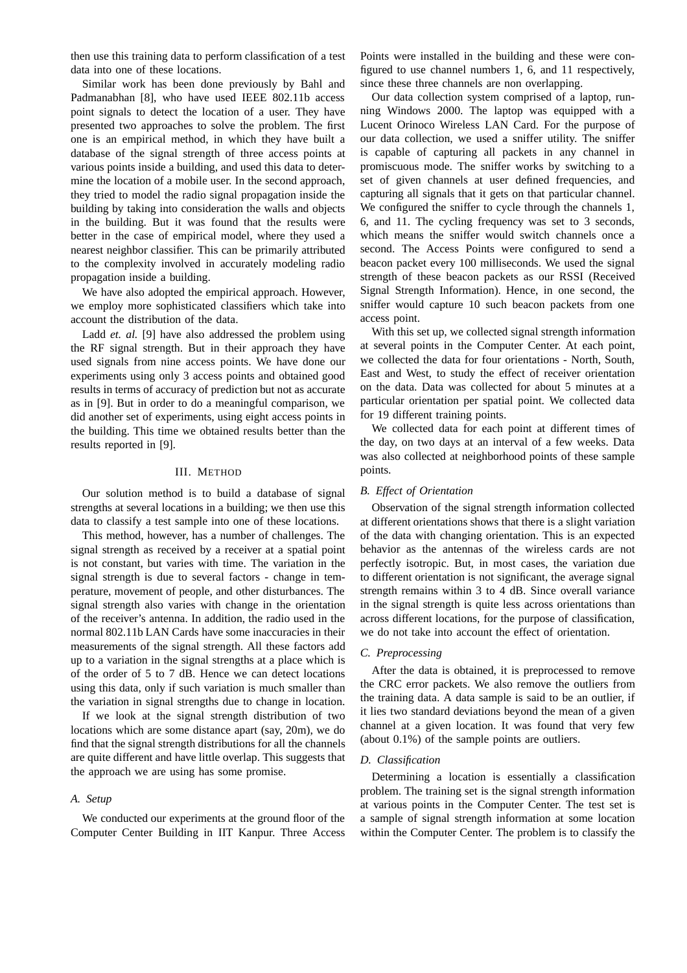then use this training data to perform classification of a test data into one of these locations.

Similar work has been done previously by Bahl and Padmanabhan [8], who have used IEEE 802.11b access point signals to detect the location of a user. They have presented two approaches to solve the problem. The first one is an empirical method, in which they have built a database of the signal strength of three access points at various points inside a building, and used this data to determine the location of a mobile user. In the second approach, they tried to model the radio signal propagation inside the building by taking into consideration the walls and objects in the building. But it was found that the results were better in the case of empirical model, where they used a nearest neighbor classifier. This can be primarily attributed to the complexity involved in accurately modeling radio propagation inside a building.

We have also adopted the empirical approach. However, we employ more sophisticated classifiers which take into account the distribution of the data.

Ladd *et. al.* [9] have also addressed the problem using the RF signal strength. But in their approach they have used signals from nine access points. We have done our experiments using only 3 access points and obtained good results in terms of accuracy of prediction but not as accurate as in [9]. But in order to do a meaningful comparison, we did another set of experiments, using eight access points in the building. This time we obtained results better than the results reported in [9].

### III. METHOD

Our solution method is to build a database of signal strengths at several locations in a building; we then use this data to classify a test sample into one of these locations.

This method, however, has a number of challenges. The signal strength as received by a receiver at a spatial point is not constant, but varies with time. The variation in the signal strength is due to several factors - change in temperature, movement of people, and other disturbances. The signal strength also varies with change in the orientation of the receiver's antenna. In addition, the radio used in the normal 802.11b LAN Cards have some inaccuracies in their measurements of the signal strength. All these factors add up to a variation in the signal strengths at a place which is of the order of 5 to 7 dB. Hence we can detect locations using this data, only if such variation is much smaller than the variation in signal strengths due to change in location.

If we look at the signal strength distribution of two locations which are some distance apart (say, 20m), we do find that the signal strength distributions for all the channels are quite different and have little overlap. This suggests that the approach we are using has some promise.

# *A. Setup*

We conducted our experiments at the ground floor of the Computer Center Building in IIT Kanpur. Three Access Points were installed in the building and these were configured to use channel numbers 1, 6, and 11 respectively, since these three channels are non overlapping.

Our data collection system comprised of a laptop, running Windows 2000. The laptop was equipped with a Lucent Orinoco Wireless LAN Card. For the purpose of our data collection, we used a sniffer utility. The sniffer is capable of capturing all packets in any channel in promiscuous mode. The sniffer works by switching to a set of given channels at user defined frequencies, and capturing all signals that it gets on that particular channel. We configured the sniffer to cycle through the channels 1, 6, and 11. The cycling frequency was set to 3 seconds, which means the sniffer would switch channels once a second. The Access Points were configured to send a beacon packet every 100 milliseconds. We used the signal strength of these beacon packets as our RSSI (Received Signal Strength Information). Hence, in one second, the sniffer would capture 10 such beacon packets from one access point.

With this set up, we collected signal strength information at several points in the Computer Center. At each point, we collected the data for four orientations - North, South, East and West, to study the effect of receiver orientation on the data. Data was collected for about 5 minutes at a particular orientation per spatial point. We collected data for 19 different training points.

We collected data for each point at different times of the day, on two days at an interval of a few weeks. Data was also collected at neighborhood points of these sample points.

# *B. Effect of Orientation*

Observation of the signal strength information collected at different orientations shows that there is a slight variation of the data with changing orientation. This is an expected behavior as the antennas of the wireless cards are not perfectly isotropic. But, in most cases, the variation due to different orientation is not significant, the average signal strength remains within 3 to 4 dB. Since overall variance in the signal strength is quite less across orientations than across different locations, for the purpose of classification, we do not take into account the effect of orientation.

## *C. Preprocessing*

After the data is obtained, it is preprocessed to remove the CRC error packets. We also remove the outliers from the training data. A data sample is said to be an outlier, if it lies two standard deviations beyond the mean of a given channel at a given location. It was found that very few (about 0.1%) of the sample points are outliers.

# *D. Classification*

Determining a location is essentially a classification problem. The training set is the signal strength information at various points in the Computer Center. The test set is a sample of signal strength information at some location within the Computer Center. The problem is to classify the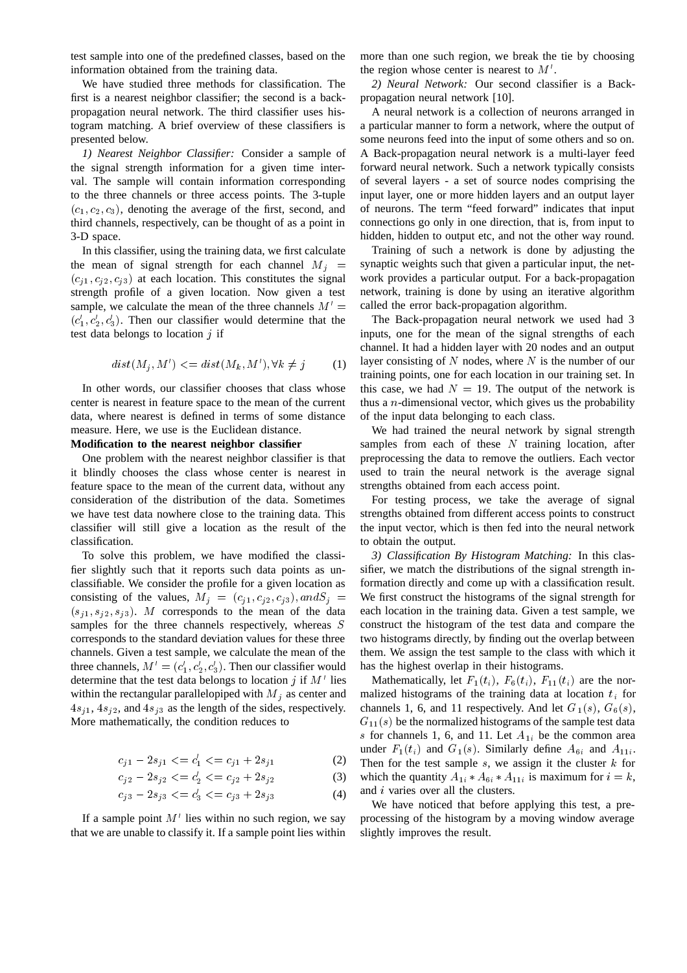test sample into one of the predefined classes, based on the information obtained from the training data.

We have studied three methods for classification. The first is a nearest neighbor classifier; the second is a backpropagation neural network. The third classifier uses histogram matching. A brief overview of these classifiers is presented below.

*1) Nearest Neighbor Classifier:* Consider a sample of the signal strength information for a given time interval. The sample will contain information corresponding to the three channels or three access points. The 3-tuple  $(c_1, c_2, c_3)$ , denoting the average of the first, second, and third channels, respectively, can be thought of as a point in 3-D space.

In this classifier, using the training data, we first calculate the mean of signal strength for each channel  $M_i$  =  $(c_{i1}, c_{i2}, c_{i3})$  at each location. This constitutes the signal strength profile of a given location. Now given a test sample, we calculate the mean of the three channels  $M' =$  $(c'_1, c'_2, c'_3)$ . Then our classifier would determine that the test data belongs to location  $j$  if

$$
dist(M_j, M') \leq dist(M_k, M'), \forall k \neq j \qquad (1)
$$

In other words, our classifier chooses that class whose center is nearest in feature space to the mean of the current data, where nearest is defined in terms of some distance measure. Here, we use is the Euclidean distance.

# **Modification to the nearest neighbor classifier**

One problem with the nearest neighbor classifier is that it blindly chooses the class whose center is nearest in feature space to the mean of the current data, without any consideration of the distribution of the data. Sometimes we have test data nowhere close to the training data. This classifier will still give a location as the result of the classification.

To solve this problem, we have modified the classifier slightly such that it reports such data points as unclassifiable. We consider the profile for a given location as consisting of the values,  $M_j = (c_{j1}, c_{j2}, c_{j3}), and S_j =$  $(s_{i1}, s_{i2}, s_{i3})$ . M corresponds to the mean of the data samples for the three channels respectively, whereas  $S$ corresponds to the standard deviation values for these three channels. Given a test sample, we calculate the mean of the three channels,  $M' = (c'_1, c'_2, c'_3)$ . Then our classifier would determine that the test data belongs to location  $j$  if  $M'$  lies within the rectangular parallelopiped with  $M_j$  as center and  $4s_{j1}$ ,  $4s_{j2}$ , and  $4s_{j3}$  as the length of the sides, respectively. More mathematically, the condition reduces to

$$
c_{j1} - 2s_{j1} \leq c'_1 \leq c_{j1} + 2s_{j1} \tag{2}
$$

$$
c_{j2} - 2s_{j2} \leq c_2' \leq c_{j2} + 2s_{j2} \tag{3}
$$

$$
c_{j3} - 2s_{j3} \leq c'_3 \leq c_{j3} + 2s_{j3} \tag{4}
$$

If a sample point  $M'$  lies within no such region, we say that we are unable to classify it. If a sample point lies within more than one such region, we break the tie by choosing the region whose center is nearest to  $M'$ . **All Committee Committee** 

*2) Neural Network:* Our second classifier is a Backpropagation neural network [10].

A neural network is a collection of neurons arranged in a particular manner to form a network, where the output of some neurons feed into the input of some others and so on. A Back-propagation neural network is a multi-layer feed forward neural network. Such a network typically consists of several layers - a set of source nodes comprising the input layer, one or more hidden layers and an output layer of neurons. The term "feed forward" indicates that input connections go only in one direction, that is, from input to hidden, hidden to output etc, and not the other way round.

 synaptic weights such that given a particular input, the net- $' =$  called the error back-propagation algorithm. Training of such a network is done by adjusting the work provides a particular output. For a back-propagation network, training is done by using an iterative algorithm

The Back-propagation neural network we used had 3 inputs, one for the mean of the signal strengths of each channel. It had a hidden layer with 20 nodes and an output layer consisting of  $N$  nodes, where  $N$  is the number of our training points, one for each location in our training set. In this case, we had  $N = 19$ . The output of the network is thus a  $n$ -dimensional vector, which gives us the probability of the input data belonging to each class.

We had trained the neural network by signal strength samples from each of these  $N$  training location, after preprocessing the data to remove the outliers. Each vector used to train the neural network is the average signal strengths obtained from each access point.

For testing process, we take the average of signal strengths obtained from different access points to construct the input vector, which is then fed into the neural network to obtain the output.

 We first construct the histograms of the signal strength for *3) Classification By Histogram Matching:* In this classifier, we match the distributions of the signal strength information directly and come up with a classification result. each location in the training data. Given a test sample, we construct the histogram of the test data and compare the two histograms directly, by finding out the overlap between them. We assign the test sample to the class with which it has the highest overlap in their histograms.

The Mathematically, let  $F_1(t_i)$ ,  $F_6(t_i)$ ,  $F_{11}(t_i)$  are the normalized histograms of the training data at location  $t_i$  for channels 1, 6, and 11 respectively. And let  $G_1(s)$ ,  $G_6(s)$ ,  $G_{11}(s)$  be the normalized histograms of the sample test data s for channels 1, 6, and 11. Let  $A_{1i}$  be the common area under  $F_1(t_i)$  and  $G_1(s)$ . Similarly define  $A_{6i}$  and  $A_{11i}$ . Then for the test sample  $s$ , we assign it the cluster  $k$  for which the quantity  $A_{1i} * A_{6i} * A_{11i}$  is maximum for  $i = k$ , and *i* varies over all the clusters.

We have noticed that before applying this test, a preprocessing of the histogram by a moving window average slightly improves the result.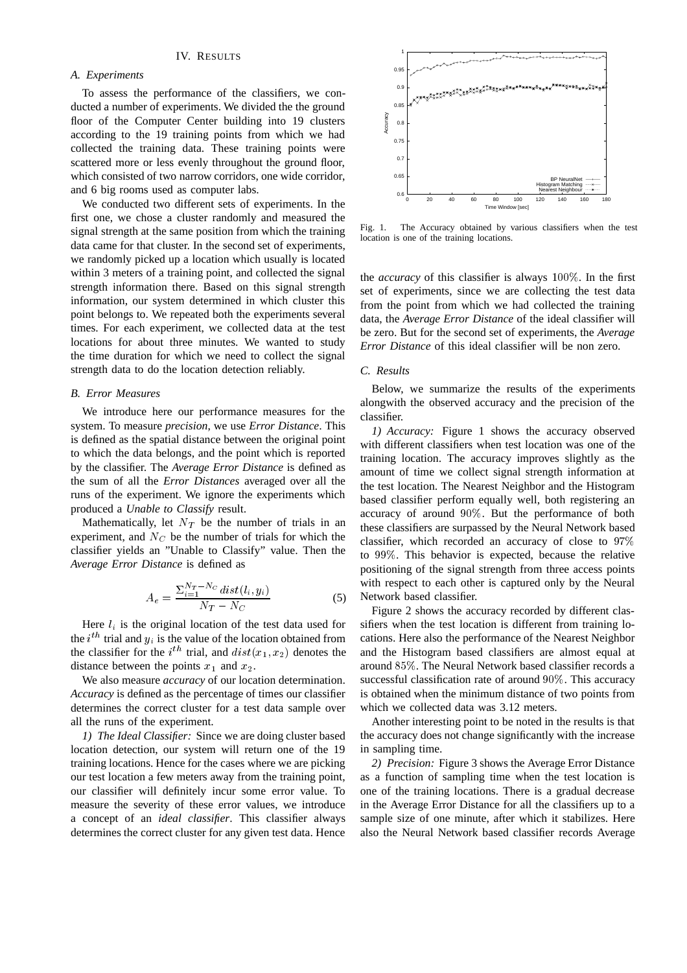## *A. Experiments*

To assess the performance of the classifiers, we conducted a number of experiments. We divided the the ground floor of the Computer Center building into 19 clusters according to the 19 training points from which we had collected the training data. These training points were scattered more or less evenly throughout the ground floor, which consisted of two narrow corridors, one wide corridor, and 6 big rooms used as computer labs.

We conducted two different sets of experiments. In the first one, we chose a cluster randomly and measured the signal strength at the same position from which the training data came for that cluster. In the second set of experiments, we randomly picked up a location which usually is located within 3 meters of a training point, and collected the signal strength information there. Based on this signal strength information, our system determined in which cluster this point belongs to. We repeated both the experiments several times. For each experiment, we collected data at the test locations for about three minutes. We wanted to study the time duration for which we need to collect the signal strength data to do the location detection reliably.

#### *B. Error Measures*

We introduce here our performance measures for the system. To measure *precision*, we use *Error Distance*. This is defined as the spatial distance between the original point to which the data belongs, and the point which is reported by the classifier. The *Average Error Distance* is defined as the sum of all the *Error Distances* averaged over all the runs of the experiment. We ignore the experiments which produced a *Unable to Classify* result.

Mathematically, let  $N_T$  be the number of trials in an experiment, and  $N_C$  be the number of trials for which the classifier yields an "Unable to Classify" value. Then the *Average Error Distance* is defined as

$$
A_e = \frac{\sum_{i=1}^{N_T - N_C} dist(l_i, y_i)}{N_T - N_C}
$$
\n
$$
(5)
$$

Here  $l_i$  is the original location of the test data used for the  $i^{th}$  trial and  $y_i$  is the value of the location obtained from the classifier for the  $i<sup>th</sup>$  trial, and  $dist(x_1, x_2)$  denotes the distance between the points  $x_1$  and  $x_2$ .

We also measure *accuracy* of our location determination. *Accuracy* is defined as the percentage of times our classifier determines the correct cluster for a test data sample over all the runs of the experiment.

*1) The Ideal Classifier:* Since we are doing cluster based location detection, our system will return one of the 19 training locations. Hence for the cases where we are picking our test location a few meters away from the training point, our classifier will definitely incur some error value. To measure the severity of these error values, we introduce a concept of an *ideal classifier*. This classifier always determines the correct cluster for any given test data. Hence



Fig. 1. The Accuracy obtained by various classifiers when the test location is one of the training locations.

the *accuracy* of this classifier is always  $100\%$ . In the first set of experiments, since we are collecting the test data from the point from which we had collected the training data, the *Average Error Distance* of the ideal classifier will be zero. But for the second set of experiments, the *Average Error Distance* of this ideal classifier will be non zero.

# *C. Results*

Below, we summarize the results of the experiments alongwith the observed accuracy and the precision of the classifier.

*1) Accuracy:* Figure 1 shows the accuracy observed with different classifiers when test location was one of the training location. The accuracy improves slightly as the amount of time we collect signal strength information at the test location. The Nearest Neighbor and the Histogram based classifier perform equally well, both registering an accuracy of around 90%. But the performance of both these classifiers are surpassed by the Neural Network based classifier, which recorded an accuracy of close to to 99%. This behavior is expected, because the relative positioning of the signal strength from three access points with respect to each other is captured only by the Neural Network based classifier.

Figure 2 shows the accuracy recorded by different classifiers when the test location is different from training locations. Here also the performance of the Nearest Neighbor and the Histogram based classifiers are almost equal at around  . The Neural Network based classifier records a successful classification rate of around 90%. This accuracy is obtained when the minimum distance of two points from which we collected data was 3.12 meters.

Another interesting point to be noted in the results is that the accuracy does not change significantly with the increase in sampling time.

*2) Precision:* Figure 3 shows the Average Error Distance as a function of sampling time when the test location is one of the training locations. There is a gradual decrease in the Average Error Distance for all the classifiers up to a sample size of one minute, after which it stabilizes. Here also the Neural Network based classifier records Average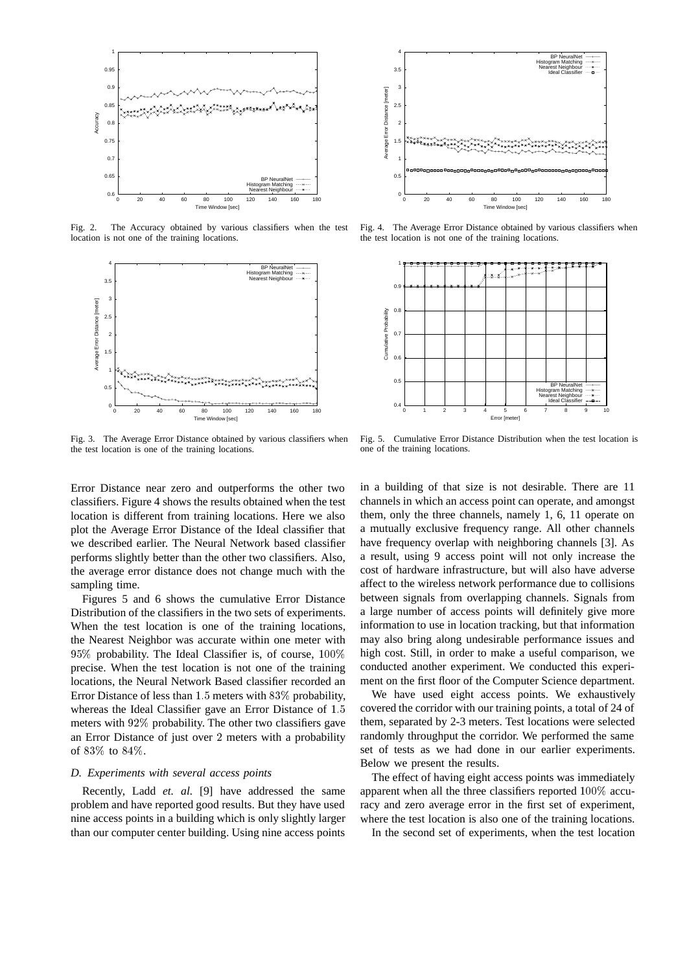

Fig. 2. The Accuracy obtained by various classifiers when the test location is not one of the training locations.





Fig. 4. The Average Error Distance obtained by various classifiers when the test location is not one of the training locations.



Fig. 3. The Average Error Distance obtained by various classifiers when the test location is one of the training locations.

Fig. 5. Cumulative Error Distance Distribution when the test location is one of the training locations.

Error Distance near zero and outperforms the other two classifiers. Figure 4 shows the results obtained when the test location is different from training locations. Here we also plot the Average Error Distance of the Ideal classifier that we described earlier. The Neural Network based classifier performs slightly better than the other two classifiers. Also, the average error distance does not change much with the sampling time.

Figures 5 and 6 shows the cumulative Error Distance Distribution of the classifiers in the two sets of experiments. When the test location is one of the training locations, the Nearest Neighbor was accurate within one meter with  $95\%$  probability. The Ideal Classifier is, of course,  $100\%$ precise. When the test location is not one of the training locations, the Neural Network Based classifier recorded an Error Distance of less than  $1.5$  meters with  $83\%$  probability, whereas the Ideal Classifier gave an Error Distance of 1.5 meters with  $92\%$  probability. The other two classifiers gave an Error Distance of just over 2 meters with a probability of  $83\%$  to  $84\%.$ 

#### *D. Experiments with several access points*

Recently, Ladd *et. al.* [9] have addressed the same problem and have reported good results. But they have used nine access points in a building which is only slightly larger than our computer center building. Using nine access points

 high cost. Still, in order to make a useful comparison, we in a building of that size is not desirable. There are 11 channels in which an access point can operate, and amongst them, only the three channels, namely 1, 6, 11 operate on a mutually exclusive frequency range. All other channels have frequency overlap with neighboring channels [3]. As a result, using 9 access point will not only increase the cost of hardware infrastructure, but will also have adverse affect to the wireless network performance due to collisions between signals from overlapping channels. Signals from a large number of access points will definitely give more information to use in location tracking, but that information may also bring along undesirable performance issues and conducted another experiment. We conducted this experiment on the first floor of the Computer Science department.

We have used eight access points. We exhaustively covered the corridor with our training points, a total of 24 of them, separated by 2-3 meters. Test locations were selected randomly throughput the corridor. We performed the same set of tests as we had done in our earlier experiments. Below we present the results.

The effect of having eight access points was immediately apparent when all the three classifiers reported  $100\%$  accuracy and zero average error in the first set of experiment, where the test location is also one of the training locations.

In the second set of experiments, when the test location